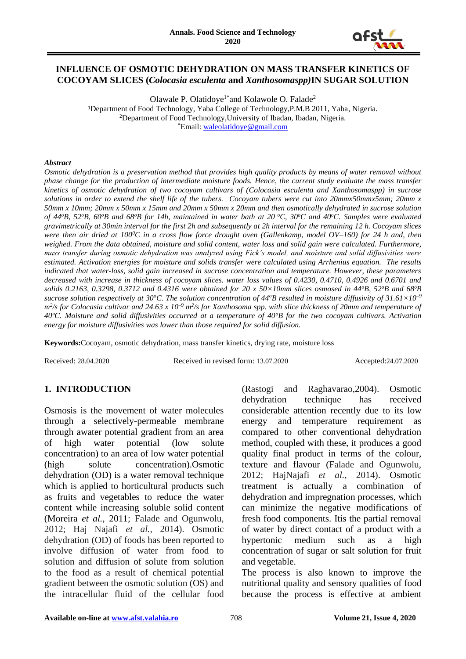

## **INFLUENCE OF OSMOTIC DEHYDRATION ON MASS TRANSFER KINETICS OF COCOYAM SLICES (***Colocasia esculenta* **and** *Xanthosomaspp)***IN SUGAR SOLUTION**

Olawale P. Olatidoye<sup>1\*</sup> and Kolawole O. Falade<sup>2</sup> <sup>1</sup>Department of Food Technology, Yaba College of Technology, P.M.B 2011, Yaba, Nigeria. <sup>2</sup>Department of Food Technology,University of Ibadan, Ibadan, Nigeria. \*Email: [waleolatidoye@gmail.com](mailto:waleolatidoye@gmail.com)

#### *Abstract*

*Osmotic dehydration is a preservation method that provides high quality products by means of water removal without phase change for the production of intermediate moisture foods. Hence, the current study evaluate the mass transfer kinetics of osmotic dehydration of two cocoyam cultivars of (Colocasia esculenta and Xanthosomaspp) in sucrose solutions in order to extend the shelf life of the tubers. Cocoyam tubers were cut into 20mmx50mmx5mm; 20mm x 50mm x 10mm; 20mm x 50mm x 15mm and 20mm x 50mm x 20mm and then osmotically dehydrated in sucrose solution of 44<sup>o</sup>B, 52<sup>o</sup>B, 60<sup>o</sup>B and 68<sup>o</sup>B for 14h, maintained in water bath at 20 <sup>o</sup>C, 30<sup>o</sup>C and 40<sup>o</sup>C. Samples were evaluated gravimetrically at 30min interval for the first 2h and subsequently at 2h interval for the remaining 12 h. Cocoyam slices were then air dried at 100<sup>0</sup>C in a cross flow force drought oven (Gallenkamp, model OV–160) for 24 h and, then weighed. From the data obtained, moisture and solid content, water loss and solid gain were calculated. Furthermore, mass transfer during osmotic dehydration was analyzed using Fick's model, and moisture and solid diffusivities were estimated. Activation energies for moisture and solids transfer were calculated using Arrhenius equation. The results indicated that water-loss, solid gain increased in sucrose concentration and temperature. However, these parameters decreased with increase in thickness of cocoyam slices. water loss values of 0.4230, 0.4710, 0.4926 and 0.6701 and solids 0.2163, 0.3298, 0.3712 and 0.4316 were obtained for 20 x 50×10mm slices osmosed in 44<sup>o</sup>B, 52<sup>o</sup>B and 68<sup>o</sup>B sucrose solution respectively at 30<sup>o</sup>C. The solution concentration of 44<sup>o</sup>B resulted in moisture diffusivity of 31.61×10–9 m*<sup>2</sup>/s for Colocasia cultivar and 24.63 x 10<sup>-9</sup> m<sup>2</sup>/s for Xanthosoma spp. with slice thickness of 20mm and temperature of *40ºC. Moisture and solid diffusivities occurred at a temperature of 40<sup>o</sup>B for the two cocoyam cultivars. Activation energy for moisture diffusivities was lower than those required for solid diffusion.*

**Keywords:**Cocoyam, osmotic dehydration, mass transfer kinetics, drying rate, moisture loss

Received: 28.04.2020 Received in revised form: 13.07.2020 Accepted:24.07.2020

# **1. INTRODUCTION**

Osmosis is the movement of water molecules through a selectively-permeable membrane through awater potential gradient from an area of high water potential (low solute concentration) to an area of low water potential (high solute concentration).Osmotic dehydration (OD) is a water removal technique which is applied to horticultural products such as fruits and vegetables to reduce the water content while increasing soluble solid content (Moreira *et al.*, 2011; Falade and Ogunwolu, 2012; Haj Najafi *et al.,* 2014). Osmotic dehydration (OD) of foods has been reported to involve diffusion of water from food to solution and diffusion of solute from solution to the food as a result of chemical potential gradient between the osmotic solution (OS) and the intracellular fluid of the cellular food

(Rastogi and Raghavarao,2004). Osmotic dehydration technique has received considerable attention recently due to its low energy and temperature requirement as compared to other conventional dehydration method, coupled with these, it produces a good quality final product in terms of the colour, texture and flavour (Falade and Ogunwolu, 2012; HajNajafi *et al.,* 2014). Osmotic treatment is actually a combination of dehydration and impregnation processes, which can minimize the negative modifications of fresh food components. Itis the partial removal of water by direct contact of a product with a hypertonic medium such as a high concentration of sugar or salt solution for fruit and vegetable.

The process is also known to improve the nutritional quality and sensory qualities of food because the process is effective at ambient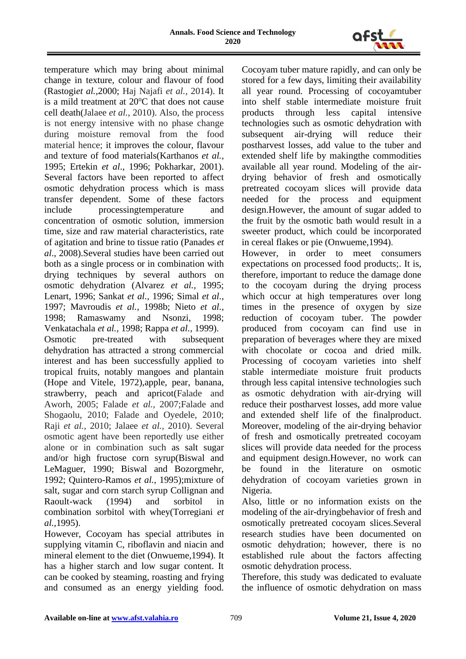

temperature which may bring about minimal change in texture, colour and flavour of food (Rastogi*et al.,*2000; Haj Najafi *et al.,* 2014). It is a mild treatment at  $20^{\circ}$ C that does not cause cell death(Jalaee *et al.*, 2010). Also, the process is not energy intensive with no phase change during moisture removal from the food material hence; it improves the colour, flavour and texture of food materials(Karthanos *et al.,*  1995; Ertekin *et al*., 1996; Pokharkar, 2001). Several factors have been reported to affect osmotic dehydration process which is mass transfer dependent. Some of these factors include processingtemperature and concentration of osmotic solution, immersion time, size and raw material characteristics, rate of agitation and brine to tissue ratio (Panades *et al*., 2008).Several studies have been carried out both as a single process or in combination with drying techniques by several authors on osmotic dehydration (Alvarez *et al.,* 1995; Lenart, 1996; Sankat *et al.,* 1996; Simal *et al.,* 1997; Mavroudis *et al.,* 1998b; Nieto *et al.,* 1998; Ramaswamy and Nsonzi, 1998; Venkatachala *et al.,* 1998; Rappa *et al.,* 1999). Osmotic pre-treated with subsequent

dehydration has attracted a strong commercial interest and has been successfully applied to tropical fruits, notably mangoes and plantain (Hope and Vitele, 1972),apple, pear, banana, strawberry, peach and apricot(Falade and Aworh, 2005; Falade *et al.,* 2007;Falade and Shogaolu, 2010; Falade and Oyedele, 2010; Raji *et al.,* 2010; Jalaee *et al.*, 2010). Several osmotic agent have been reportedly use either alone or in combination such as salt sugar and/or high fructose corn syrup(Biswal and LeMaguer, 1990; Biswal and Bozorgmehr, 1992; Quintero-Ramos *et al.,* 1995);mixture of salt, sugar and corn starch syrup Collignan and Raoult-wack (1994) and sorbitol in combination sorbitol with whey(Torregiani *et al.,*1995).

However, Cocoyam has special attributes in supplying vitamin C, riboflavin and niacin and mineral element to the diet (Onwueme,1994). It has a higher starch and low sugar content. It can be cooked by steaming, roasting and frying and consumed as an energy yielding food. Cocoyam tuber mature rapidly, and can only be stored for a few days, limiting their availability all year round. Processing of cocoyamtuber into shelf stable intermediate moisture fruit products through less capital intensive technologies such as osmotic dehydration with subsequent air-drying will reduce their postharvest losses, add value to the tuber and extended shelf life by makingthe commodities available all year round. Modeling of the airdrying behavior of fresh and osmotically pretreated cocoyam slices will provide data needed for the process and equipment design.However, the amount of sugar added to the fruit by the osmotic bath would result in a sweeter product, which could be incorporated in cereal flakes or pie (Onwueme,1994).

However, in order to meet consumers expectations on processed food products;. It is, therefore, important to reduce the damage done to the cocoyam during the drying process which occur at high temperatures over long times in the presence of oxygen by size reduction of cocoyam tuber. The powder produced from cocoyam can find use in preparation of beverages where they are mixed with chocolate or cocoa and dried milk. Processing of cocoyam varieties into shelf stable intermediate moisture fruit products through less capital intensive technologies such as osmotic dehydration with air-drying will reduce their postharvest losses, add more value and extended shelf life of the finalproduct. Moreover, modeling of the air-drying behavior of fresh and osmotically pretreated cocoyam slices will provide data needed for the process and equipment design.However, no work can be found in the literature on osmotic dehydration of cocoyam varieties grown in Nigeria.

Also, little or no information exists on the modeling of the air-dryingbehavior of fresh and osmotically pretreated cocoyam slices.Several research studies have been documented on osmotic dehydration; however, there is no established rule about the factors affecting osmotic dehydration process.

Therefore, this study was dedicated to evaluate the influence of osmotic dehydration on mass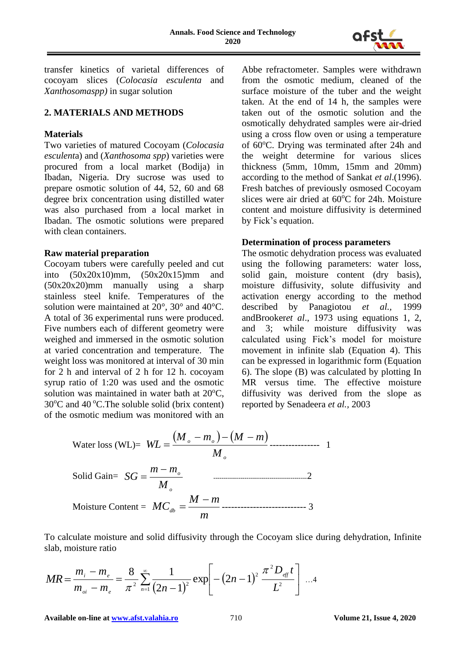

transfer kinetics of varietal differences of cocoyam slices (*Colocasia esculenta* and *Xanthosomaspp)* in sugar solution

## **2. MATERIALS AND METHODS**

## **Materials**

Two varieties of matured Cocoyam (*Colocasia esculent*a) and (*Xanthosoma spp*) varieties were procured from a local market (Bodija) in Ibadan, Nigeria. Dry sucrose was used to prepare osmotic solution of 44, 52, 60 and 68 degree brix concentration using distilled water was also purchased from a local market in Ibadan. The osmotic solutions were prepared with clean containers.

#### **Raw material preparation**

Cocoyam tubers were carefully peeled and cut into (50x20x10)mm, (50x20x15)mm and (50x20x20)mm manually using a sharp stainless steel knife. Temperatures of the solution were maintained at 20°, 30° and 40°C. A total of 36 experimental runs were produced. Five numbers each of different geometry were weighed and immersed in the osmotic solution at varied concentration and temperature. The weight loss was monitored at interval of 30 min for 2 h and interval of 2 h for 12 h. cocoyam syrup ratio of 1:20 was used and the osmotic solution was maintained in water bath at  $20^{\circ}$ C,  $30^{\circ}$ C and  $40^{\circ}$ C. The soluble solid (brix content) of the osmotic medium was monitored with an

Abbe refractometer. Samples were withdrawn from the osmotic medium, cleaned of the surface moisture of the tuber and the weight taken. At the end of 14 h, the samples were taken out of the osmotic solution and the osmotically dehydrated samples were air-dried using a cross flow oven or using a temperature of 60<sup>o</sup>C. Drying was terminated after 24h and the weight determine for various slices thickness (5mm, 10mm, 15mm and 20mm) according to the method of Sankat *et al*.(1996). Fresh batches of previously osmosed Cocoyam slices were air dried at 60°C for 24h. Moisture content and moisture diffusivity is determined by Fick's equation.

## **Determination of process parameters**

The osmotic dehydration process was evaluated using the following parameters: water loss, solid gain, moisture content (dry basis), moisture diffusivity, solute diffusivity and activation energy according to the method described by Panagiotou *et al.,* 1999 andBrooker*et al*., 1973 using equations 1, 2, and 3; while moisture diffusivity was calculated using Fick's model for moisture movement in infinite slab (Equation 4). This can be expressed in logarithmic form (Equation 6). The slope (B) was calculated by plotting In MR versus time. The effective moisture diffusivity was derived from the slope as reported by Senadeera *et al.,* 2003

Water loss (WL)= 
$$
WL = \frac{(M_o - m_o) - (M - m)}{M_o}
$$
  
\nSolid Gain=  $SG = \frac{m - m_o}{M_o}$  2  
\nMoisture Content =  $MC_{ab} = \frac{M - m}{m}$  3

To calculate moisture and solid diffusivity through the Cocoyam slice during dehydration, Infinite slab, moisture ratio

$$
MR = \frac{m_{i} - m_{e}}{m_{oi} - m_{e}} = \frac{8}{\pi^{2}} \sum_{n=1}^{\infty} \frac{1}{(2n-1)^{2}} \exp\left[-(2n-1)^{2} \frac{\pi^{2} D_{\text{eff}} t}{L^{2}}\right] ... 4
$$

**Available on-line a[t www.afst.valahia.ro](http://www.afst.valahia.ro/)** 710 **Volume 21, Issue 4, 2020**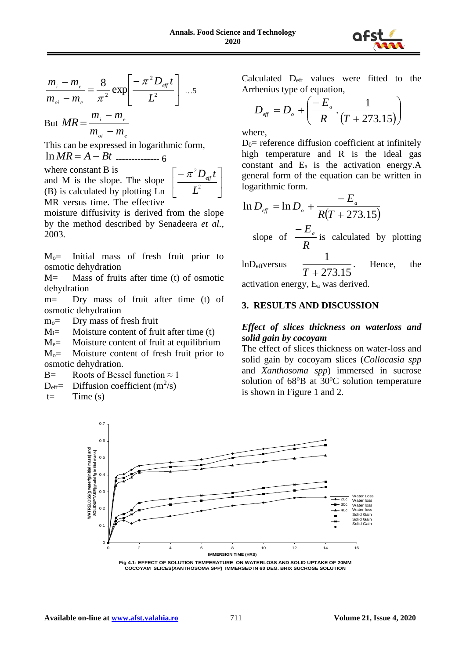

$$
\frac{m_{i} - m_{e}}{m_{oi} - m_{e}} = \frac{8}{\pi^{2}} \exp\left[\frac{-\pi^{2} D_{\text{eff}} t}{L^{2}}\right] ... 5
$$

But  $MR = \frac{m_i - m_e}{m}$  $m_{\rho i} - m_{\rho i}$ 

This can be expressed in logarithmic form, ln *MR* = *A* − *Bt* -------------- 6

where constant B is and M is the slope. The slope (B) is calculated by plotting Ln MR versus time. The effective

$$
\left\lfloor \frac{-\pi^2 D_{\text{eff}} t}{L^2} \right\rfloor
$$

moisture diffusivity is derived from the slope by the method described by Senadeera *et al.,*  2003.

Mo= Initial mass of fresh fruit prior to osmotic dehydration

M= Mass of fruits after time (t) of osmotic dehydration

m= Dry mass of fruit after time (t) of osmotic dehydration

 $m<sub>o</sub>=$  Dry mass of fresh fruit

 $M_i$  = Moisture content of fruit after time (t)

 $M_e$ = Moisture content of fruit at equilibrium

 $M<sub>o</sub>=$  Moisture content of fresh fruit prior to osmotic dehydration.

B= Roots of Bessel function  $\approx 1$ 

 $D_{\text{eff}}$  Diffusion coefficient (m<sup>2</sup>/s)

 $t=$  Time  $(s)$ 

Calculated Deff values were fitted to the Arrhenius type of equation,

$$
D_{\text{eff}} = D_{\text{o}} + \left(\frac{-E_{\text{a}}}{R} \cdot \frac{1}{(T + 273.15)}\right)
$$

where,

 $D_0$ = reference diffusion coefficient at infinitely high temperature and R is the ideal gas constant and  $E_a$  is the activation energy. A general form of the equation can be written in logarithmic form.

$$
\ln D_{\text{eff}} = \ln D_{\text{o}} + \frac{-E_{\text{a}}}{R(T + 273.15)}
$$
\n
$$
\text{slope of } \frac{-E_{\text{a}}}{R} \text{ is calculated by plotting}
$$
\n
$$
\ln D_{\text{eff}} \text{versus } \frac{1}{T + 273.15}. \text{ Hence, the}
$$

activation energy, E<sup>a</sup> was derived.

## **3. RESULTS AND DISCUSSION**

#### *Effect of slices thickness on waterloss and solid gain by cocoyam*

The effect of slices thickness on water-loss and solid gain by cocoyam slices (*Collocasia spp* and *Xanthosoma spp*) immersed in sucrose solution of  $68^{\circ}B$  at  $30^{\circ}C$  solution temperature is shown in Figure 1 and 2.



**Fig 4.1: EFFECT OF SOLUTION TEMPERATURE ON WATERLOSS AND SOLID UPTAKE OF 20MM COCOYAM SLICES(XANTHOSOMA SPP) IMMERSED IN 60 DEG. BRIX SUCROSE SOLUTION**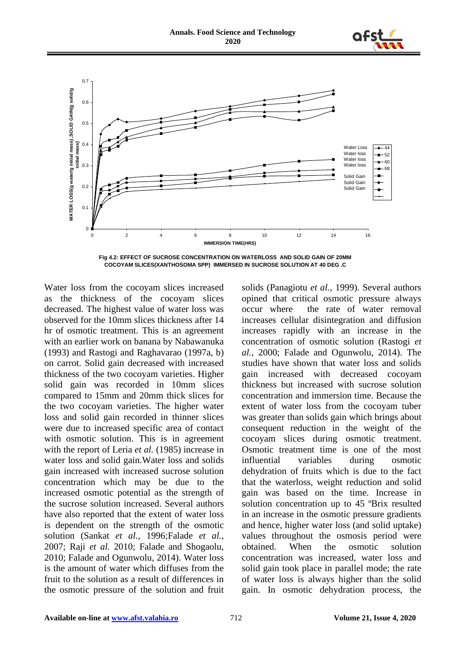



**Fig 4.2: EFFECT OF SUCROSE CONCENTRATION ON WATERLOSS AND SOLID GAIN OF 20MM COCOYAM SLICES(XANTHOSOMA SPP) IMMERSED IN SUCROSE SOLUTION AT 40 DEG .C** 

Water loss from the cocoyam slices increased as the thickness of the cocoyam slices decreased. The highest value of water loss was observed for the 10mm slices thickness after 14 hr of osmotic treatment. This is an agreement with an earlier work on banana by Nabawanuka (1993) and Rastogi and Raghavarao (1997a, b) on carrot. Solid gain decreased with increased thickness of the two cocoyam varieties. Higher solid gain was recorded in 10mm slices compared to 15mm and 20mm thick slices for the two cocoyam varieties. The higher water loss and solid gain recorded in thinner slices were due to increased specific area of contact with osmotic solution. This is in agreement with the report of Leria *et al.* (1985) increase in water loss and solid gain.Water loss and solids gain increased with increased sucrose solution concentration which may be due to the increased osmotic potential as the strength of the sucrose solution increased. Several authors have also reported that the extent of water loss is dependent on the strength of the osmotic solution (Sankat *et al.,* 1996;Falade *et al.,* 2007; Raji *et al.* 2010; Falade and Shogaolu, 2010; Falade and Ogunwolu, 2014). Water loss is the amount of water which diffuses from the fruit to the solution as a result of differences in the osmotic pressure of the solution and fruit

solids (Panagiotu *et al.,* 1999). Several authors opined that critical osmotic pressure always occur where the rate of water removal increases cellular disintegration and diffusion increases rapidly with an increase in the concentration of osmotic solution (Rastogi *et al.,* 2000; Falade and Ogunwolu, 2014). The studies have shown that water loss and solids gain increased with decreased cocoyam thickness but increased with sucrose solution concentration and immersion time. Because the extent of water loss from the cocoyam tuber was greater than solids gain which brings about consequent reduction in the weight of the cocoyam slices during osmotic treatment. Osmotic treatment time is one of the most influential variables during osmotic dehydration of fruits which is due to the fact that the waterloss, weight reduction and solid gain was based on the time. Increase in solution concentration up to 45 ºBrix resulted in an increase in the osmotic pressure gradients and hence, higher water loss (and solid uptake) values throughout the osmosis period were obtained. When the osmotic solution concentration was increased, water loss and solid gain took place in parallel mode; the rate of water loss is always higher than the solid gain. In osmotic dehydration process, the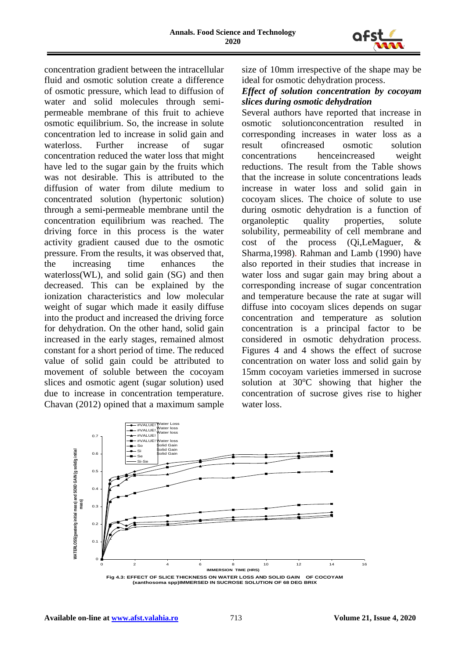

concentration gradient between the intracellular fluid and osmotic solution create a difference of osmotic pressure, which lead to diffusion of water and solid molecules through semipermeable membrane of this fruit to achieve osmotic equilibrium. So, the increase in solute concentration led to increase in solid gain and waterloss. Further increase of sugar concentration reduced the water loss that might have led to the sugar gain by the fruits which was not desirable. This is attributed to the diffusion of water from dilute medium to concentrated solution (hypertonic solution) through a semi-permeable membrane until the concentration equilibrium was reached. The driving force in this process is the water activity gradient caused due to the osmotic pressure. From the results, it was observed that, the increasing time enhances the waterloss(WL), and solid gain (SG) and then decreased. This can be explained by the ionization characteristics and low molecular weight of sugar which made it easily diffuse into the product and increased the driving force for dehydration. On the other hand, solid gain increased in the early stages, remained almost constant for a short period of time. The reduced value of solid gain could be attributed to movement of soluble between the cocoyam slices and osmotic agent (sugar solution) used due to increase in concentration temperature. Chavan (2012) opined that a maximum sample

size of 10mm irrespective of the shape may be ideal for osmotic dehydration process.

## *Effect of solution concentration by cocoyam slices during osmotic dehydration*

Several authors have reported that increase in osmotic solutionconcentration resulted in corresponding increases in water loss as a result ofincreased osmotic solution concentrations henceincreased weight reductions. The result from the Table shows that the increase in solute concentrations leads increase in water loss and solid gain in cocoyam slices. The choice of solute to use during osmotic dehydration is a function of organoleptic quality properties, solute solubility, permeability of cell membrane and cost of the process (Qi,LeMaguer, & Sharma,1998). Rahman and Lamb (1990) have also reported in their studies that increase in water loss and sugar gain may bring about a corresponding increase of sugar concentration and temperature because the rate at sugar will diffuse into cocoyam slices depends on sugar concentration and temperature as solution concentration is a principal factor to be considered in osmotic dehydration process. Figures 4 and 4 shows the effect of sucrose concentration on water loss and solid gain by 15mm cocoyam varieties immersed in sucrose solution at  $30^{\circ}$ C showing that higher the concentration of sucrose gives rise to higher water loss.

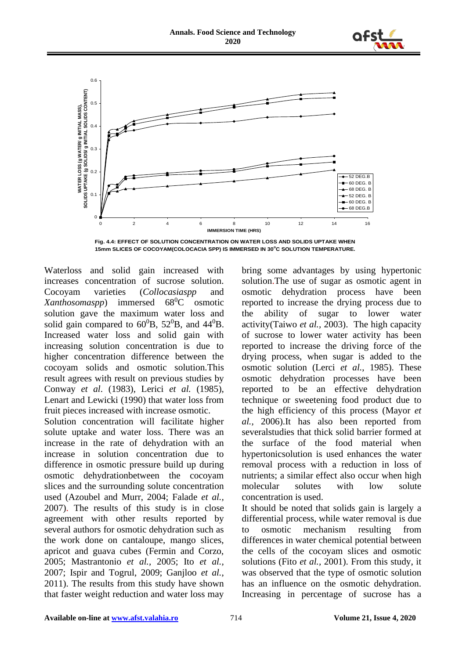



**Fig. 4.4: EFFECT OF SOLUTION CONCENTRATION ON WATER LOSS AND SOLIDS UPTAKE WHEN 15mm SLICES OF COCOYAM(COLOCACIA SPP) IS IMMERSED IN 30<sup>o</sup>C SOLUTION TEMPERATURE.**

Waterloss and solid gain increased with increases concentration of sucrose solution. Cocoyam varieties (*Collocasiaspp* and *Xanthosomaspp*) immersed 68<sup>0</sup>C osmotic solution gave the maximum water loss and solid gain compared to  $60^0$ B,  $52^0$ B, and  $44^0$ B. Increased water loss and solid gain with increasing solution concentration is due to higher concentration difference between the cocoyam solids and osmotic solution.This result agrees with result on previous studies by Conway *et al*. (1983), Lerici *et al.* (1985), Lenart and Lewicki (1990) that water loss from fruit pieces increased with increase osmotic.

Solution concentration will facilitate higher solute uptake and water loss. There was an increase in the rate of dehydration with an increase in solution concentration due to difference in osmotic pressure build up during osmotic dehydrationbetween the cocoyam slices and the surrounding solute concentration used (Azoubel and Murr, 2004; Falade *et al.,* 2007). The results of this study is in close agreement with other results reported by several authors for osmotic dehydration such as the work done on cantaloupe, mango slices, apricot and guava cubes (Fermin and Corzo, 2005; Mastrantonio *et al.,* 2005; Ito *et al.,* 2007; Ispir and Togrul, 2009; Ganjloo *et al.*, 2011). The results from this study have shown that faster weight reduction and water loss may

bring some advantages by using hypertonic solution.The use of sugar as osmotic agent in osmotic dehydration process have been reported to increase the drying process due to the ability of sugar to lower water activity(Taiwo *et al.,* 2003). The high capacity of sucrose to lower water activity has been reported to increase the driving force of the drying process, when sugar is added to the osmotic solution (Lerci *et al.*, 1985). These osmotic dehydration processes have been reported to be an effective dehydration technique or sweetening food product due to the high efficiency of this process (Mayor *et al.,* 2006).It has also been reported from severalstudies that thick solid barrier formed at the surface of the food material when hypertonicsolution is used enhances the water removal process with a reduction in loss of nutrients; a similar effect also occur when high molecular solutes with low solute concentration is used.

It should be noted that solids gain is largely a differential process, while water removal is due to osmotic mechanism resulting from differences in water chemical potential between the cells of the cocoyam slices and osmotic solutions (Fito *et al.,* 2001). From this study, it was observed that the type of osmotic solution has an influence on the osmotic dehydration. Increasing in percentage of sucrose has a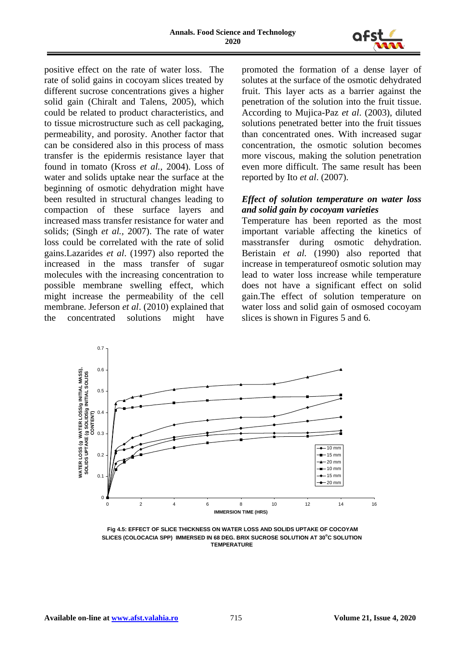

positive effect on the rate of water loss. The rate of solid gains in cocoyam slices treated by different sucrose concentrations gives a higher solid gain (Chiralt and Talens, 2005), which could be related to product characteristics, and to tissue microstructure such as cell packaging, permeability, and porosity. Another factor that can be considered also in this process of mass transfer is the epidermis resistance layer that found in tomato (Kross *et al.,* 2004). Loss of water and solids uptake near the surface at the beginning of osmotic dehydration might have been resulted in structural changes leading to compaction of these surface layers and increased mass transfer resistance for water and solids; (Singh *et al.,* 2007). The rate of water loss could be correlated with the rate of solid gains.Lazarides *et al*. (1997) also reported the increased in the mass transfer of sugar molecules with the increasing concentration to possible membrane swelling effect, which might increase the permeability of the cell membrane. Jeferson *et al*. (2010) explained that the concentrated solutions might have

promoted the formation of a dense layer of solutes at the surface of the osmotic dehydrated fruit. This layer acts as a barrier against the penetration of the solution into the fruit tissue. According to Mujica-Paz *et al*. (2003), diluted solutions penetrated better into the fruit tissues than concentrated ones. With increased sugar concentration, the osmotic solution becomes more viscous, making the solution penetration even more difficult. The same result has been reported by Ito *et al*. (2007).

## *Effect of solution temperature on water loss and solid gain by cocoyam varieties*

Temperature has been reported as the most important variable affecting the kinetics of masstransfer during osmotic dehydration. Beristain *et al.* (1990) also reported that increase in temperatureof osmotic solution may lead to water loss increase while temperature does not have a significant effect on solid gain.The effect of solution temperature on water loss and solid gain of osmosed cocoyam slices is shown in Figures 5 and 6.



 **Fig 4.5: EFFECT OF SLICE THICKNESS ON WATER LOSS AND SOLIDS UPTAKE OF COCOYAM SLICES (COLOCACIA SPP) IMMERSED IN 68 DEG. BRIX SUCROSE SOLUTION AT 30<sup>o</sup>C SOLUTION TEMPERATURE**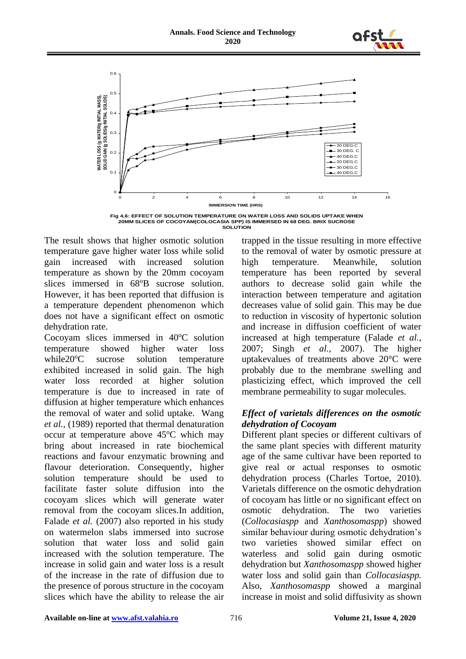



**Fig 4.6: EFFECT OF SOLUTION TEMPERATURE ON WATER LOSS AND SOLIDS UPTAKE WHEN 20MM SLICES OF COCOYAM(COLOCASIA SPP) IS IMMERSED IN 68 DEG. BRIX SUCROSE SOLUTION**

The result shows that higher osmotic solution temperature gave higher water loss while solid gain increased with increased solution temperature as shown by the 20mm cocoyam slices immersed in 68<sup>o</sup>B sucrose solution. However, it has been reported that diffusion is a temperature dependent phenomenon which does not have a significant effect on osmotic dehydration rate.

Cocoyam slices immersed in  $40^{\circ}$ C solution temperature showed higher water loss while 20<sup>o</sup>C sucrose solution temperature exhibited increased in solid gain. The high water loss recorded at higher solution temperature is due to increased in rate of diffusion at higher temperature which enhances the removal of water and solid uptake. Wang *et al.,* (1989) reported that thermal denaturation occur at temperature above  $45^{\circ}$ C which may bring about increased in rate biochemical reactions and favour enzymatic browning and flavour deterioration. Consequently, higher solution temperature should be used to facilitate faster solute diffusion into the cocoyam slices which will generate water removal from the cocoyam slices.In addition, Falade *et al.* (2007) also reported in his study on watermelon slabs immersed into sucrose solution that water loss and solid gain increased with the solution temperature. The increase in solid gain and water loss is a result of the increase in the rate of diffusion due to the presence of porous structure in the cocoyam slices which have the ability to release the air

trapped in the tissue resulting in more effective to the removal of water by osmotic pressure at high temperature. Meanwhile, solution temperature has been reported by several authors to decrease solid gain while the interaction between temperature and agitation decreases value of solid gain. This may be due to reduction in viscosity of hypertonic solution and increase in diffusion coefficient of water increased at high temperature (Falade *et al.*, 2007; Singh *et al.,* 2007). The higher uptakevalues of treatments above 20°C were probably due to the membrane swelling and plasticizing effect, which improved the cell membrane permeability to sugar molecules.

## *Effect of varietals differences on the osmotic dehydration of Cocoyam*

Different plant species or different cultivars of the same plant species with different maturity age of the same cultivar have been reported to give real or actual responses to osmotic dehydration process (Charles Tortoe, 2010). Varietals difference on the osmotic dehydration of cocoyam has little or no significant effect on<br>osmotic dehydration. The two varieties osmotic dehydration. The two varieties (*Collocasiaspp* and *Xanthosomaspp*) showed similar behaviour during osmotic dehydration's two varieties showed similar effect on waterless and solid gain during osmotic dehydration but *Xanthosomaspp* showed higher water loss and solid gain than *Collocasiaspp.*  Also, *Xanthosomaspp* showed a marginal increase in moist and solid diffusivity as shown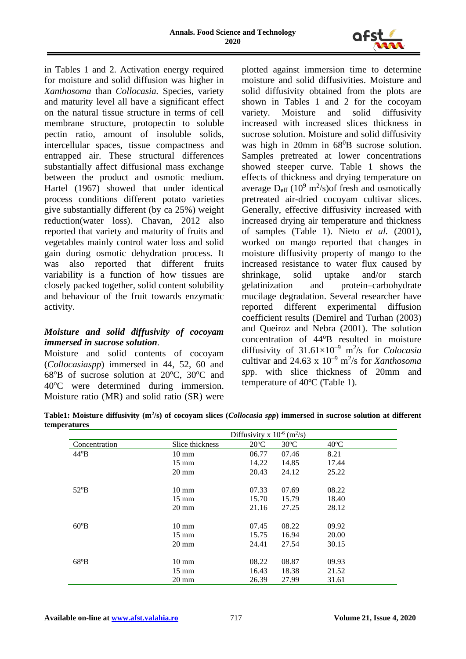

in Tables 1 and 2. Activation energy required for moisture and solid diffusion was higher in *Xanthosoma* than *Collocasia.* Species, variety and maturity level all have a significant effect on the natural tissue structure in terms of cell membrane structure, protopectin to soluble pectin ratio, amount of insoluble solids, intercellular spaces, tissue compactness and entrapped air. These structural differences substantially affect diffusional mass exchange between the product and osmotic medium. Hartel (1967) showed that under identical process conditions different potato varieties give substantially different (by ca 25%) weight reduction(water loss). Chavan, 2012 also reported that variety and maturity of fruits and vegetables mainly control water loss and solid gain during osmotic dehydration process. It was also reported that different fruits variability is a function of how tissues are closely packed together, solid content solubility and behaviour of the fruit towards enzymatic activity.

## *Moisture and solid diffusivity of cocoyam immersed in sucrose solution.*

Moisture and solid contents of cocoyam (*Collocasiaspp*) immersed in 44, 52, 60 and  $68^{\circ}B$  of sucrose solution at  $20^{\circ}C$ ,  $30^{\circ}C$  and 40<sup>o</sup>C were determined during immersion. Moisture ratio (MR) and solid ratio (SR) were

plotted against immersion time to determine moisture and solid diffusivities. Moisture and solid diffusivity obtained from the plots are shown in Tables 1 and 2 for the cocoyam variety. Moisture and solid diffusivity increased with increased slices thickness in sucrose solution. Moisture and solid diffusivity was high in 20mm in 68<sup>0</sup>B sucrose solution. Samples pretreated at lower concentrations showed steeper curve. Table 1 shows the effects of thickness and drying temperature on average  $D_{\text{eff}}$  (10<sup>9</sup> m<sup>2</sup>/s) of fresh and osmotically pretreated air-dried cocoyam cultivar slices. Generally, effective diffusivity increased with increased drying air temperature and thickness of samples (Table 1). Nieto *et al.* (2001), worked on mango reported that changes in moisture diffusivity property of mango to the increased resistance to water flux caused by shrinkage, solid uptake and/or starch gelatinization and protein–carbohydrate mucilage degradation. Several researcher have reported different experimental diffusion coefficient results (Demirel and Turhan (2003) and Queiroz and Nebra (2001). The solution concentration of 44°B resulted in moisture diffusivity of 31.61×10–9 m<sup>2</sup> /s for *Colocasia* cultivar and  $24.63 \times 10^{-9}$  m<sup>2</sup>/s for *Xanthosoma sp*p. with slice thickness of 20mm and temperature of 40ºC (Table 1).

**Table1: Moisture diffusivity (m<sup>2</sup> /s) of cocoyam slices (***Collocasia spp***) immersed in sucrose solution at different temperatures**

|               | Diffusivity x $10^{-6}$ (m <sup>2</sup> /s) |               |                |                |
|---------------|---------------------------------------------|---------------|----------------|----------------|
| Concentration | Slice thickness                             | $20^{\circ}C$ | $30^{\circ}$ C | $40^{\circ}$ C |
| $44^{\circ}B$ | $10 \text{ mm}$                             | 06.77         | 07.46          | 8.21           |
|               | $15 \text{ mm}$                             | 14.22         | 14.85          | 17.44          |
|               | $20 \text{ mm}$                             | 20.43         | 24.12          | 25.22          |
|               |                                             |               |                |                |
| $52^{\circ}B$ | $10 \text{ mm}$                             | 07.33         | 07.69          | 08.22          |
|               | $15 \text{ mm}$                             | 15.70         | 15.79          | 18.40          |
|               | $20 \text{ mm}$                             | 21.16         | 27.25          | 28.12          |
| $60^{\circ}B$ | $10 \text{ mm}$                             | 07.45         | 08.22          | 09.92          |
|               | $15 \text{ mm}$                             | 15.75         | 16.94          | 20.00          |
|               | $20 \text{ mm}$                             | 24.41         | 27.54          | 30.15          |
| $68^{\circ}B$ | $10 \text{ mm}$                             | 08.22         | 08.87          | 09.93          |
|               | $15 \text{ mm}$                             | 16.43         | 18.38          | 21.52          |
|               | $20 \text{ mm}$                             | 26.39         | 27.99          | 31.61          |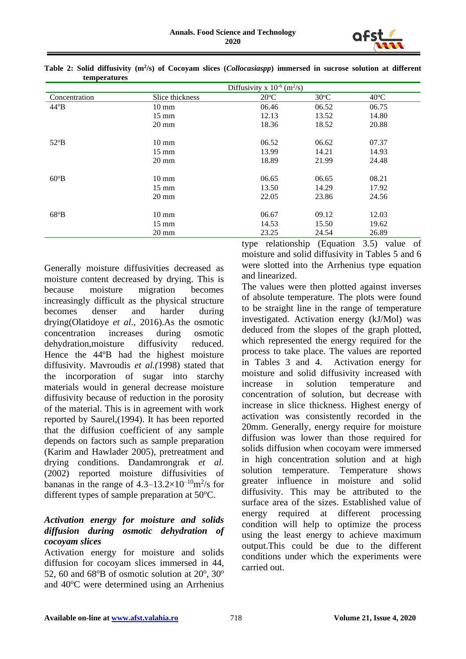

|               | Diffusivity x $10^{-6}$ (m <sup>2</sup> /s) |               |                |                |
|---------------|---------------------------------------------|---------------|----------------|----------------|
| Concentration | Slice thickness                             | $20^{\circ}C$ | $30^{\circ}$ C | $40^{\circ}$ C |
| $44^{\circ}B$ | $10 \text{ mm}$                             | 06.46         | 06.52          | 06.75          |
|               | $15 \text{ mm}$                             | 12.13         | 13.52          | 14.80          |
|               | $20 \text{ mm}$                             | 18.36         | 18.52          | 20.88          |
|               |                                             |               |                |                |
| $52^{\circ}B$ | $10 \text{ mm}$                             | 06.52         | 06.62          | 07.37          |
|               | $15 \text{ mm}$                             | 13.99         | 14.21          | 14.93          |
|               | $20 \text{ mm}$                             | 18.89         | 21.99          | 24.48          |
| $60^{\circ}B$ | $10 \text{ mm}$                             | 06.65         | 06.65          | 08.21          |
|               | $15 \text{ mm}$                             | 13.50         | 14.29          | 17.92          |
|               | $20 \text{ mm}$                             | 22.05         | 23.86          | 24.56          |
| $68^{\circ}B$ | $10 \text{ mm}$                             | 06.67         | 09.12          | 12.03          |
|               | $15 \text{ mm}$                             | 14.53         | 15.50          | 19.62          |
|               | $20 \text{ mm}$                             | 23.25         | 24.54          | 26.89          |

**Table 2: Solid diffusivity (m<sup>2</sup> /s) of Cocoyam slices (***Collocasiaspp***) immersed in sucrose solution at different temperatures**

Generally moisture diffusivities decreased as moisture content decreased by drying. This is because moisture migration becomes increasingly difficult as the physical structure becomes denser and harder during drying(Olatidoye *et al.,* 2016).As the osmotic concentration increases during osmotic dehydration,moisture diffusivity reduced. Hence the 44ºB had the highest moisture diffusivity. Mavroudis *et al.(*1998) stated that the incorporation of sugar into starchy materials would in general decrease moisture diffusivity because of reduction in the porosity of the material. This is in agreement with work reported by Saurel,(1994). It has been reported that the diffusion coefficient of any sample depends on factors such as sample preparation (Karim and Hawlader 2005), pretreatment and drying conditions. Dandamrongrak *et al.* (2002) reported moisture diffusivities of bananas in the range of  $4.3-13.2\times10^{-10}$ m<sup>2</sup>/s for different types of sample preparation at  $50^{\circ}$ C.

## *Activation energy for moisture and solids diffusion during osmotic dehydration of cocoyam slices*

Activation energy for moisture and solids diffusion for cocoyam slices immersed in 44, 52, 60 and  $68^{\circ}B$  of osmotic solution at  $20^{\circ}$ ,  $30^{\circ}$ and  $40^{\circ}$ C were determined using an Arrhenius type relationship (Equation 3.5) value of moisture and solid diffusivity in Tables 5 and 6 were slotted into the Arrhenius type equation and linearized.

The values were then plotted against inverses of absolute temperature. The plots were found to be straight line in the range of temperature investigated. Activation energy (kJ/Mol) was deduced from the slopes of the graph plotted, which represented the energy required for the process to take place. The values are reported in Tables 3 and 4. Activation energy for moisture and solid diffusivity increased with increase in solution temperature and concentration of solution, but decrease with increase in slice thickness. Highest energy of activation was consistently recorded in the 20mm. Generally, energy require for moisture diffusion was lower than those required for solids diffusion when cocoyam were immersed in high concentration solution and at high solution temperature. Temperature shows greater influence in moisture and solid diffusivity. This may be attributed to the surface area of the sizes. Established value of energy required at different processing condition will help to optimize the process using the least energy to achieve maximum output.This could be due to the different conditions under which the experiments were carried out.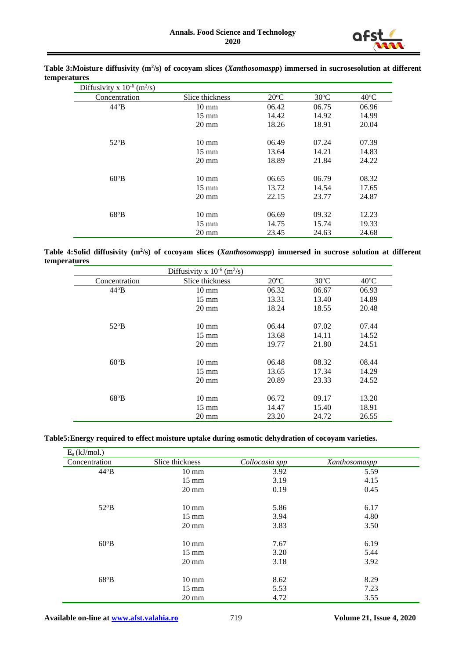

| Diffusivity x $10^{-6}$ (m <sup>2</sup> /s) |                 |                |                |                |
|---------------------------------------------|-----------------|----------------|----------------|----------------|
| Concentration                               | Slice thickness | $20^{\circ}$ C | $30^{\circ}$ C | $40^{\circ}$ C |
| $44^{\circ}B$                               | $10 \text{ mm}$ | 06.42          | 06.75          | 06.96          |
|                                             | $15 \text{ mm}$ | 14.42          | 14.92          | 14.99          |
|                                             | $20 \text{ mm}$ | 18.26          | 18.91          | 20.04          |
|                                             |                 |                |                |                |
| $52^{\circ}B$                               | $10 \text{ mm}$ | 06.49          | 07.24          | 07.39          |
|                                             | $15 \text{ mm}$ | 13.64          | 14.21          | 14.83          |
|                                             | $20 \text{ mm}$ | 18.89          | 21.84          | 24.22          |
|                                             |                 |                |                |                |
| $60^{\circ}B$                               | $10 \text{ mm}$ | 06.65          | 06.79          | 08.32          |
|                                             | $15 \text{ mm}$ | 13.72          | 14.54          | 17.65          |
|                                             | $20 \text{ mm}$ | 22.15          | 23.77          | 24.87          |
|                                             |                 |                |                |                |
| $68^{\circ}B$                               | $10 \text{ mm}$ | 06.69          | 09.32          | 12.23          |
|                                             | $15 \text{ mm}$ | 14.75          | 15.74          | 19.33          |
|                                             | $20 \text{ mm}$ | 23.45          | 24.63          | 24.68          |

**Table 3:Moisture diffusivity (m<sup>2</sup> /s) of cocoyam slices (***Xanthosomaspp***) immersed in sucrosesolution at different temperatures**

**Table 4:Solid diffusivity (m<sup>2</sup> /s) of cocoyam slices (***Xanthosomaspp***) immersed in sucrose solution at different temperatures**

| Diffusivity x $10^{-6}$ (m <sup>2</sup> /s) |                 |               |                |                |
|---------------------------------------------|-----------------|---------------|----------------|----------------|
| Concentration                               | Slice thickness | $20^{\circ}C$ | $30^{\circ}$ C | $40^{\circ}$ C |
| $44^{\circ}B$                               | $10 \text{ mm}$ | 06.32         | 06.67          | 06.93          |
|                                             | $15 \text{ mm}$ | 13.31         | 13.40          | 14.89          |
|                                             | $20 \text{ mm}$ | 18.24         | 18.55          | 20.48          |
| $52^{\circ}B$                               | $10 \text{ mm}$ | 06.44         | 07.02          | 07.44          |
|                                             | $15 \text{ mm}$ | 13.68         | 14.11          | 14.52          |
|                                             | $20 \text{ mm}$ | 19.77         | 21.80          | 24.51          |
| $60^{\circ}B$                               | $10 \text{ mm}$ | 06.48         | 08.32          | 08.44          |
|                                             | $15 \text{ mm}$ | 13.65         | 17.34          | 14.29          |
|                                             | $20 \text{ mm}$ | 20.89         | 23.33          | 24.52          |
| $68^{\circ}B$                               | $10 \text{ mm}$ | 06.72         | 09.17          | 13.20          |
|                                             | $15 \text{ mm}$ | 14.47         | 15.40          | 18.91          |
|                                             | $20 \text{ mm}$ | 23.20         | 24.72          | 26.55          |

#### **Table5:Energy required to effect moisture uptake during osmotic dehydration of cocoyam varieties.**

| $E_a(kJ/mol.)$ |                 |                |               |
|----------------|-----------------|----------------|---------------|
| Concentration  | Slice thickness | Collocasia spp | Xanthosomaspp |
| $44^{\circ}B$  | $10 \text{ mm}$ | 3.92           | 5.59          |
|                | $15 \text{ mm}$ | 3.19           | 4.15          |
|                | $20 \text{ mm}$ | 0.19           | 0.45          |
| $52^{\circ}B$  | $10 \text{ mm}$ | 5.86           | 6.17          |
|                | $15 \text{ mm}$ | 3.94           | 4.80          |
|                | $20 \text{ mm}$ | 3.83           | 3.50          |
| $60^{\circ}B$  | $10 \text{ mm}$ | 7.67           | 6.19          |
|                | $15 \text{ mm}$ | 3.20           | 5.44          |
|                | $20 \text{ mm}$ | 3.18           | 3.92          |
| $68^{\circ}B$  | $10 \text{ mm}$ | 8.62           | 8.29          |
|                | $15 \text{ mm}$ | 5.53           | 7.23          |
|                | $20 \text{ mm}$ | 4.72           | 3.55          |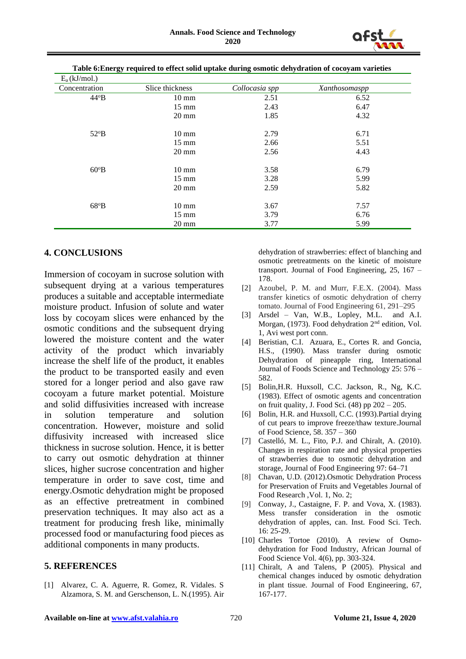

| $E_a(kJ/mol.)$ |                 |                |               |
|----------------|-----------------|----------------|---------------|
| Concentration  | Slice thickness | Collocasia spp | Xanthosomaspp |
| $44^{\circ}B$  | $10 \text{ mm}$ | 2.51           | 6.52          |
|                | $15 \text{ mm}$ | 2.43           | 6.47          |
|                | $20 \text{ mm}$ | 1.85           | 4.32          |
| $52^{\circ}B$  | $10 \text{ mm}$ | 2.79           | 6.71          |
|                | $15 \text{ mm}$ | 2.66           | 5.51          |
|                | $20 \text{ mm}$ | 2.56           | 4.43          |
| $60^{\circ}B$  | $10 \text{ mm}$ | 3.58           | 6.79          |
|                | $15 \text{ mm}$ | 3.28           | 5.99          |
|                | $20 \text{ mm}$ | 2.59           | 5.82          |
| $68^{\circ}B$  | $10 \text{ mm}$ | 3.67           | 7.57          |
|                | $15 \text{ mm}$ | 3.79           | 6.76          |
|                | $20 \text{ mm}$ | 3.77           | 5.99          |

**Table 6:Energy required to effect solid uptake during osmotic dehydration of cocoyam varieties**

#### **4. CONCLUSIONS**

Immersion of cocoyam in sucrose solution with subsequent drying at a various temperatures produces a suitable and acceptable intermediate moisture product. Infusion of solute and water loss by cocoyam slices were enhanced by the osmotic conditions and the subsequent drying lowered the moisture content and the water activity of the product which invariably increase the shelf life of the product, it enables the product to be transported easily and even stored for a longer period and also gave raw cocoyam a future market potential. Moisture and solid diffusivities increased with increase in solution temperature and solution concentration. However, moisture and solid diffusivity increased with increased slice thickness in sucrose solution. Hence, it is better to carry out osmotic dehydration at thinner slices, higher sucrose concentration and higher temperature in order to save cost, time and energy.Osmotic dehydration might be proposed as an effective pretreatment in combined preservation techniques. It may also act as a treatment for producing fresh like, minimally processed food or manufacturing food pieces as additional components in many products.

#### **5. REFERENCES**

[1] Alvarez, C. A. Aguerre, R. Gomez, R. Vidales. S Alzamora, S. M. and Gerschenson, L. N.(1995). Air

dehydration of strawberries: effect of blanching and osmotic pretreatments on the kinetic of moisture transport. Journal of Food Engineering, 25, 167 – 178.

- [2] Azoubel, P. M. and Murr, F.E.X. (2004). Mass transfer kinetics of osmotic dehydration of cherry tomato. Journal of Food Engineering 61, 291–295
- [3] Arsdel Van, W.B., Lopley, M.L. and A.I. Morgan, (1973). Food dehydration 2nd edition, Vol. 1, Avi west port conn.
- [4] Beristian, C.I. Azuara, E., Cortes R. and Goncia, H.S., (1990). Mass transfer during osmotic Dehydration of pineapple ring, International Journal of Foods Science and Technology 25: 576 – 582.
- [5] Bolin,H.R. Huxsoll, C.C. Jackson, R., Ng, K.C. (1983). Effect of osmotic agents and concentration on fruit quality, J. Food Sci. (48) pp 202 – 205.
- [6] Bolin, H.R. and Huxsoll, C.C. (1993).Partial drying of cut pears to improve freeze/thaw texture.Journal of Food Science, 58. 357 – 360
- [7] Castelló, M. L., Fito, P.J. and Chiralt, A. (2010). Changes in respiration rate and physical properties of strawberries due to osmotic dehydration and storage, Journal of Food Engineering 97: 64–71
- [8] Chavan, U.D. (2012).Osmotic Dehydration Process for Preservation of Fruits and Vegetables Journal of Food Research ,Vol. 1, No. 2;
- [9] Conway, J., Castaigne, F. P. and Vova, X. (1983). Mess transfer consideration in the osmotic dehydration of apples, can. Inst. Food Sci. Tech. 16: 25-29.
- [10] Charles Tortoe (2010). A review of Osmodehydration for Food Industry, African Journal of Food Science Vol. 4(6), pp. 303-324.
- [11] Chiralt, A and Talens, P (2005). Physical and chemical changes induced by osmotic dehydration in plant tissue. Journal of Food Engineering, 67, 167-177.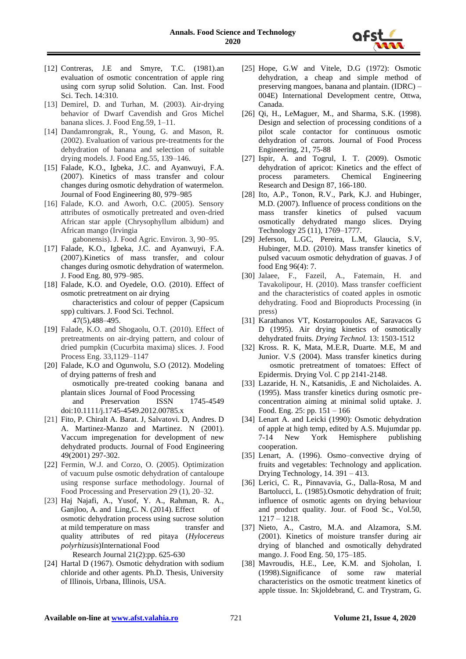

- [12] Contreras, J.E and Smyre, T.C. (1981).an evaluation of osmotic concentration of apple ring using corn syrup solid Solution. Can. Inst. Food Sci. Tech. 14:310.
- [13] Demirel, D. and Turhan, M. (2003). Air-drying behavior of Dwarf Cavendish and Gros Michel banana slices. J. Food Eng.59, 1–11.
- [14] Dandamrongrak, R., Young, G. and Mason, R. (2002). Evaluation of various pre-treatments for the dehydration of banana and selection of suitable drying models. J. Food Eng.55, 139–146.
- [15] Falade, K.O., Igbeka, J.C. and Ayanwuyi, F.A. (2007). Kinetics of mass transfer and colour changes during osmotic dehydration of watermelon. Journal of Food Engineering 80, 979–985
- [16] Falade, K.O. and Aworh, O.C. (2005). Sensory attributes of osmotically pretreated and oven-dried African star apple (Chrysophyllum albidum) and African mango (Irvingia

gabonensis). J. Food Agric. Environ. 3, 90–95.

- [17] Falade, K.O., Igbeka, J.C. and Ayanwuyi, F.A. (2007).Kinetics of mass transfer, and colour changes during osmotic dehydration of watermelon. J. Food Eng. 80, 979–985.
- [18] Falade, K.O. and Oyedele, O.O. (2010). Effect of osmotic pretreatment on air drying characteristics and colour of pepper (Capsicum spp) cultivars. J. Food Sci. Technol. 47(5),488–495.
- [19] Falade, K.O. and Shogaolu, O.T. (2010). Effect of pretreatments on air-drying pattern, and colour of dried pumpkin (Cucurbita maxima) slices. J. Food Process Eng. 33,1129–1147
- [20] Falade, K.O and Ogunwolu, S.O (2012). Modeling of drying patterns of fresh and osmotically pre-treated cooking banana and plantain slices Journal of Food Processing and Preservation ISSN 1745-4549
- doi:10.1111/j.1745-4549.2012.00785.x [21] Fito, P. Chiralt A. Barat. J, Salvatovi. D, Andres. D
- A. Martinez-Manzo and Martinez. N (2001). Vaccum impregenation for development of new dehydrated products. Journal of Food Engineering 49(2001) 297-302.
- [22] Fermin, W.J. and Corzo, O. (2005). Optimization of vacuum pulse osmotic dehydration of cantaloupe using response surface methodology. Journal of Food Processing and Preservation 29 (1), 20–32.
- [23] Haj Najafi, A., Yusof, Y. A., Rahman, R. A., Ganjloo, A. and Ling, C. N. (2014). Effect of osmotic dehydration process using sucrose solution at mild temperature on mass transfer and quality attributes of red pitaya (*Hylocereus polyrhizusis*)International Food Research Journal 21(2):pp. 625-630
- [24] Hartal D (1967). Osmotic dehydration with sodium chloride and other agents. Ph.D. Thesis, University of Illinois, Urbana, Illinois, USA.
- [25] Hope, G.W and Vitele, D.G (1972): Osmotic dehydration, a cheap and simple method of preserving mangoes, banana and plantain. (IDRC) – 004E) International Development centre, Ottwa, Canada.
- [26] Qi, H., LeMaguer, M., and Sharma, S.K. (1998). Design and selection of processing conditions of a pilot scale contactor for continuous osmotic dehydration of carrots. Journal of Food Process Engineering, 21, 75-88
- [27] Ispir, A. and Togrul, I. T. (2009). Osmotic dehydration of apricot: Kinetics and the effect of process parameters. Chemical Engineering process parameters. Chemical Engineering Research and Design 87, 166-180.
- [28] Ito, A.P., Tonon, R.V., Park, K.J. and Hubinger, M.D. (2007). Influence of process conditions on the mass transfer kinetics of pulsed vacuum osmotically dehydrated mango slices. Drying Technology 25 (11), 1769–1777.
- [29] Jeferson, L.GC, Pereira, L.M, Glaucia, S.V, Hubinger, M.D. (2010). Mass transfer kinetics of pulsed vacuum osmotic dehydration of guavas. J of food Eng 96(4): 7.
- [30] Jalaee, F., Fazeil, A., Fatemain, H. and Tavakolipour, H. (2010). Mass transfer coefficient and the characteristics of coated apples in osmotic dehydrating. Food and Bioproducts Processing (in press)
- [31] Karathanos VT, Kostarropoulos AE, Saravacos G D (1995). Air drying kinetics of osmotically dehydrated fruits. *Drying Technol.* 13: 1503-1512
- [32] Kross. R. K, Mata, M.E.R, Duarte. M.E, M and Junior. V.S (2004). Mass transfer kinetics during osmotic pretreatment of tomatoes: Effect of Epidermis. Drying Vol. C pp 2141-2148.
- [33] Lazaride, H. N., Katsanidis, .E and Nicholaides. A. (1995). Mass transfer kinetics during osmotic preconcentration aiming at minimal solid uptake. J. Food. Eng. 25: pp. 151 – 166
- [34] Lenart A. and Leicki (1990): Osmotic dehydration of apple at high temp, edited by A.S. Mujumdar pp. 7-14 New York Hemisphere publishing cooperation.
- [35] Lenart, A. (1996). Osmo–convective drying of fruits and vegetables: Technology and application. Drying Technology, 14. 391 – 413.
- [36] Lerici, C. R., Pinnavavia, G., Dalla-Rosa, M and Bartolucci, L. (1985).Osmotic dehydration of fruit; influence of osmotic agents on drying behaviour and product quality. Jour. of Food Sc., Vol.50, 1217 – 1218.
- [37] Nieto, A., Castro, M.A. and Alzamora, S.M. (2001). Kinetics of moisture transfer during air drying of blanched and osmotically dehydrated mango. J. Food Eng. 50, 175–185.
- [38] Mavroudis, H.E., Lee, K.M. and Sjoholan, I. (1998).Significance of some raw material characteristics on the osmotic treatment kinetics of apple tissue. In: Skjoldebrand, C. and Trystram, G.